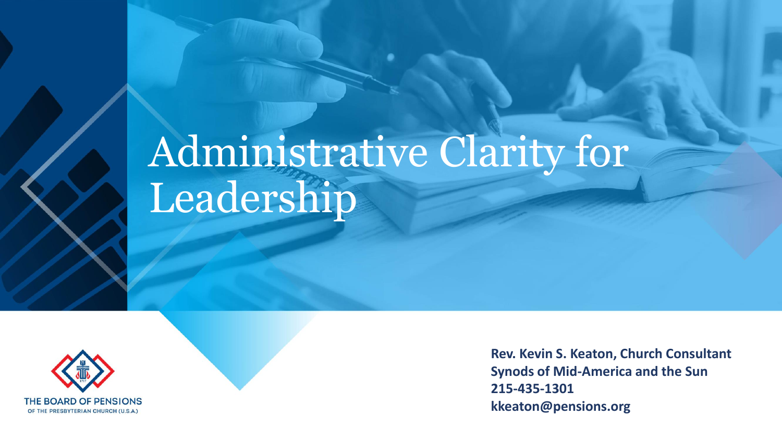# Administrative Clarity for Leadership



**Rev. Kevin S. Keaton, Church Consultant Synods of Mid-America and the Sun 215-435-1301 kkeaton@pensions.org**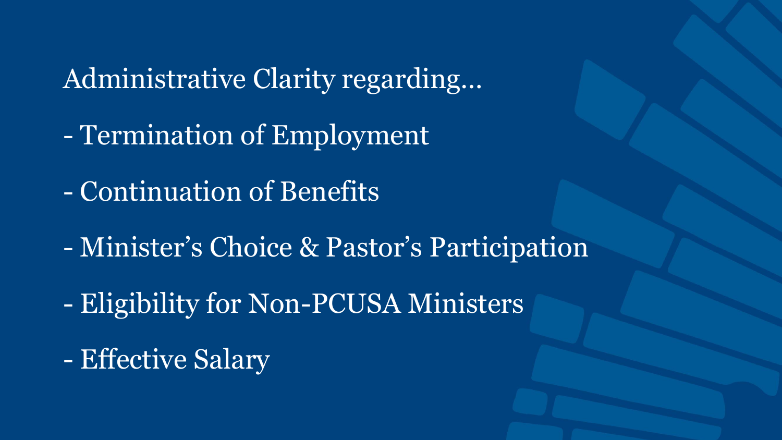Administrative Clarity regarding…

- Termination of Employment
- Continuation of Benefits
- Minister's Choice & Pastor's Participation
- Eligibility for Non-PCUSA Ministers
- Effective Salary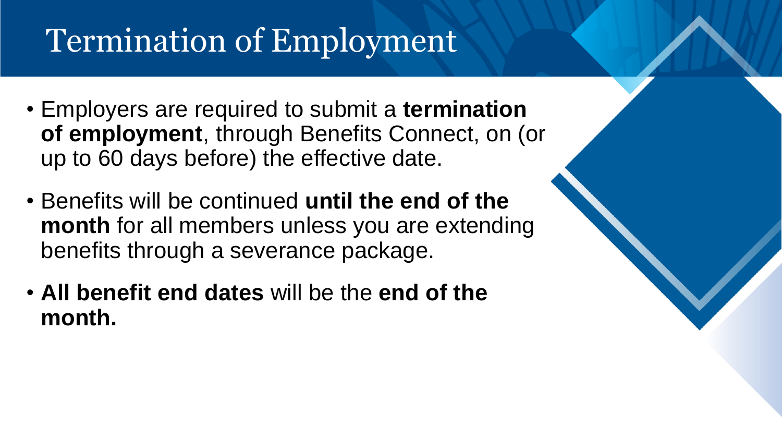### Termination of Employment

- Employers are required to submit a **termination of employment**, through Benefits Connect, on (or up to 60 days before) the effective date.
- Benefits will be continued **until the end of the month** for all members unless you are extending benefits through a severance package.
- **All benefit end dates** will be the **end of the month.**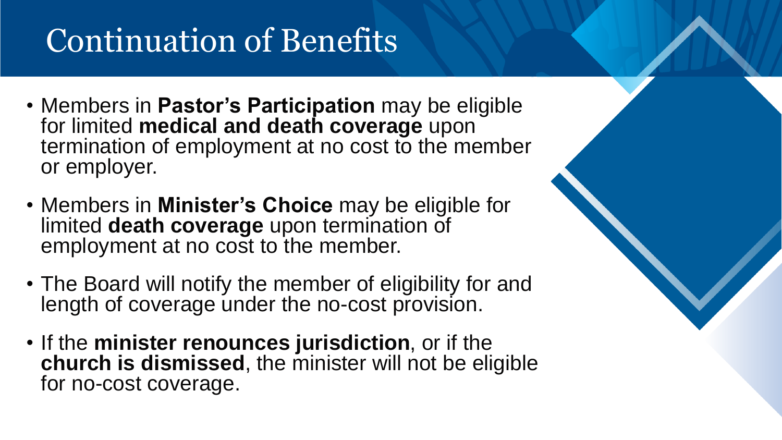### Continuation of Benefits

- Members in **Pastor's Participation** may be eligible for limited **medical and death coverage** upon termination of employment at no cost to the member or employer.
- Members in **Minister's Choice** may be eligible for limited **death coverage** upon termination of employment at no cost to the member.
- The Board will notify the member of eligibility for and length of coverage under the no-cost provision.
- If the **minister renounces jurisdiction**, or if the **church is dismissed**, the minister will not be eligible for no-cost coverage.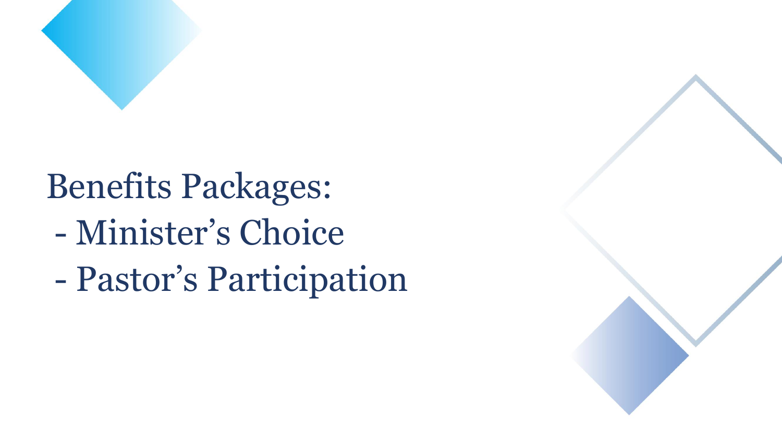

# Benefits Packages:

- Minister's Choice
- Pastor's Participation

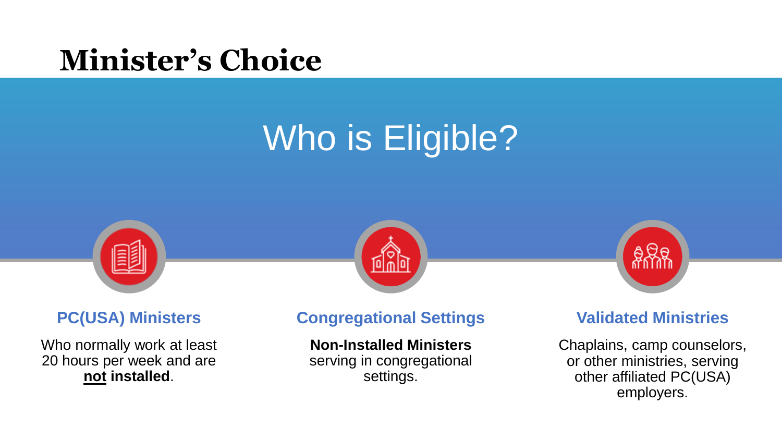#### **Minister's Choice**

# Who is Eligible?







Who normally work at least 20 hours per week and are **not installed**.

#### **PC(USA) Ministers Congregational Settings Validated Ministries**

**Non-Installed Ministers** serving in congregational settings.

Chaplains, camp counselors, or other ministries, serving other affiliated PC(USA) employers.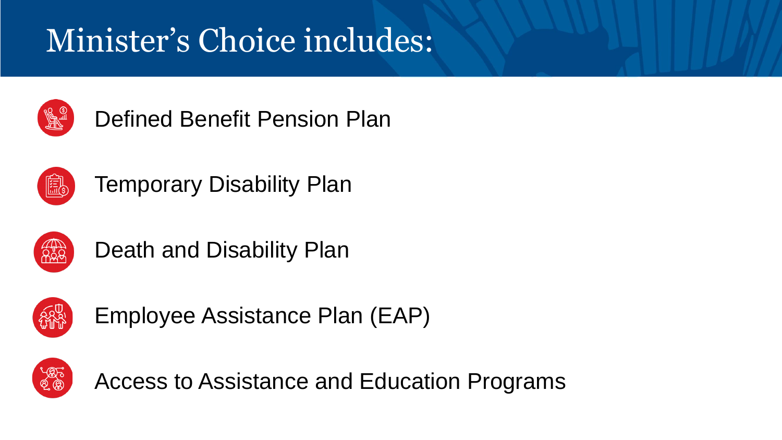### Minister's Choice includes:



Defined Benefit Pension Plan



Temporary Disability Plan



Death and Disability Plan



Employee Assistance Plan (EAP)



Access to Assistance and Education Programs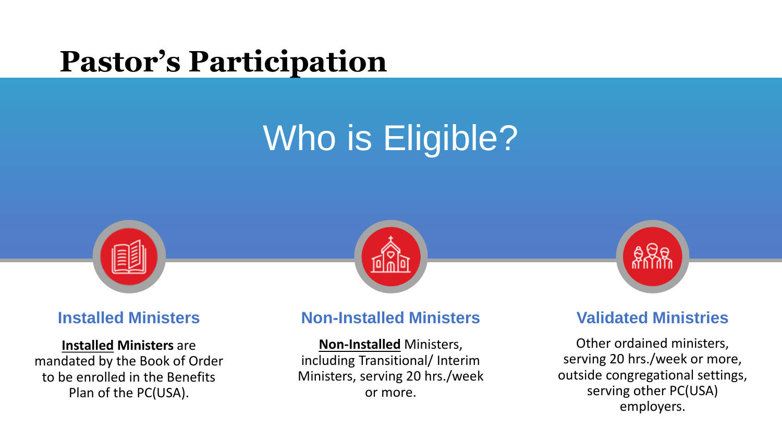#### **Pastor's Participation**

## Who is Eligible?



# **Level**



#### **Installed Ministers** are mandated by the Book of Order to be enrolled in the Benefits

Plan of the PC(USA).

#### **Installed Ministers Non-Installed Ministers Validated Ministries**

**Non-Installed** Ministers, including Transitional/ Interim Ministers, serving 20 hrs./week or more.

Other ordained ministers, serving 20 hrs./week or more, outside congregational settings, serving other PC(USA) employers.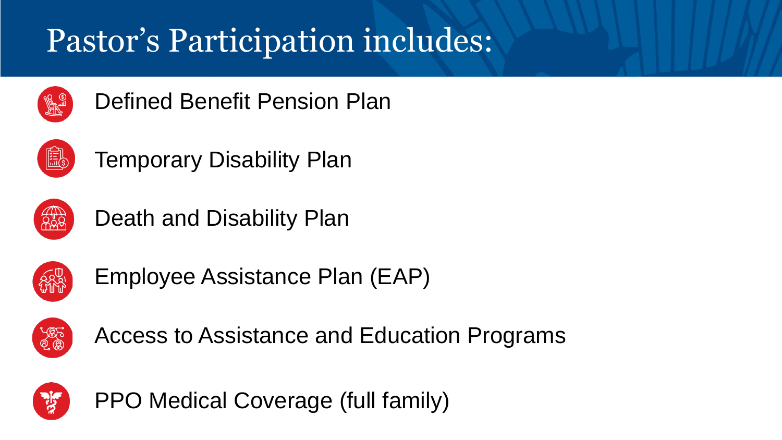### Pastor's Participation includes:



Defined Benefit Pension Plan



Temporary Disability Plan



Death and Disability Plan



Employee Assistance Plan (EAP)



Access to Assistance and Education Programs



PPO Medical Coverage (full family)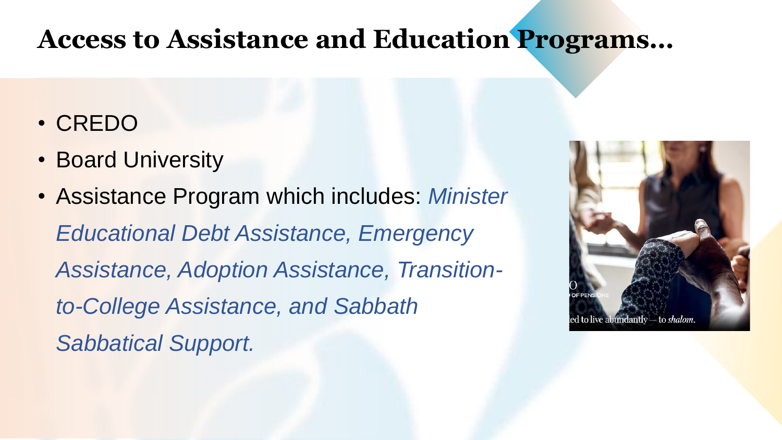#### **Access to Assistance and Education Programs…**

- CREDO
- Board University
- Assistance Program which includes: *Minister Educational Debt Assistance, Emergency Assistance, Adoption Assistance, Transitionto-College Assistance, and Sabbath Sabbatical Support.*

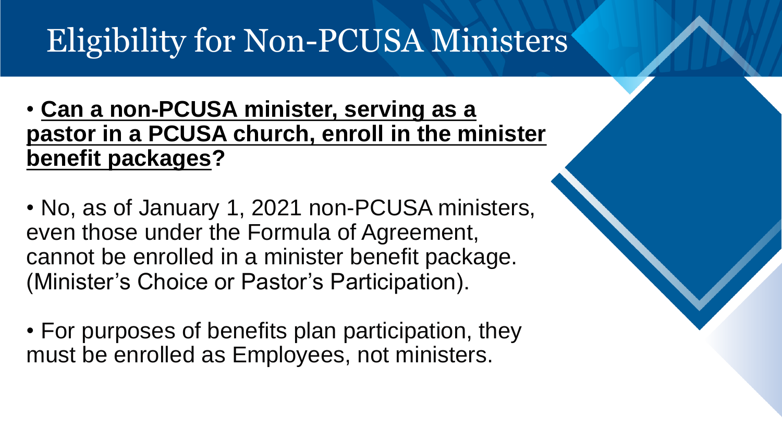#### Eligibility for Non-PCUSA Ministers

- **Can a non-PCUSA minister, serving as a pastor in a PCUSA church, enroll in the minister benefit packages?**
- No, as of January 1, 2021 non-PCUSA ministers, even those under the Formula of Agreement, cannot be enrolled in a minister benefit package. (Minister's Choice or Pastor's Participation).
- For purposes of benefits plan participation, they must be enrolled as Employees, not ministers.